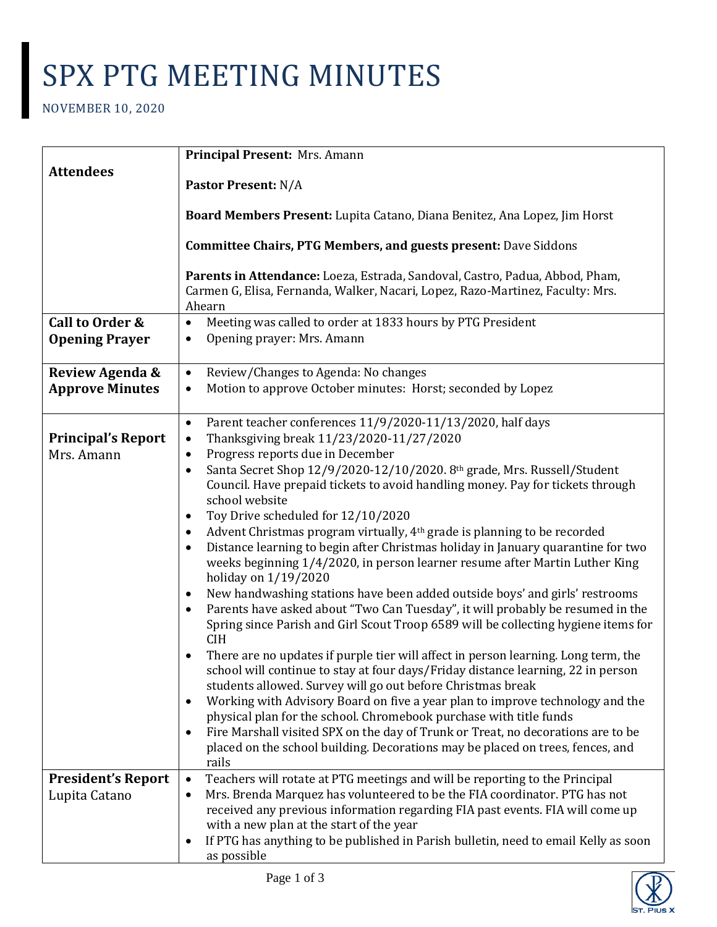## SPX PTG MEETING MINUTES

NOVEMBER 10, 2020

|                                         | Principal Present: Mrs. Amann                                                                                                                                                                                                                                                                                                                                                                                                                                                                                                                                                                                                                                                                                                                                                                                                                                                                                                                                                                                                                                                                                                                                                                                                                                                                                                                                                                                                                                                                                                                                                                                                |
|-----------------------------------------|------------------------------------------------------------------------------------------------------------------------------------------------------------------------------------------------------------------------------------------------------------------------------------------------------------------------------------------------------------------------------------------------------------------------------------------------------------------------------------------------------------------------------------------------------------------------------------------------------------------------------------------------------------------------------------------------------------------------------------------------------------------------------------------------------------------------------------------------------------------------------------------------------------------------------------------------------------------------------------------------------------------------------------------------------------------------------------------------------------------------------------------------------------------------------------------------------------------------------------------------------------------------------------------------------------------------------------------------------------------------------------------------------------------------------------------------------------------------------------------------------------------------------------------------------------------------------------------------------------------------------|
| <b>Attendees</b>                        | <b>Pastor Present: N/A</b>                                                                                                                                                                                                                                                                                                                                                                                                                                                                                                                                                                                                                                                                                                                                                                                                                                                                                                                                                                                                                                                                                                                                                                                                                                                                                                                                                                                                                                                                                                                                                                                                   |
|                                         | Board Members Present: Lupita Catano, Diana Benitez, Ana Lopez, Jim Horst                                                                                                                                                                                                                                                                                                                                                                                                                                                                                                                                                                                                                                                                                                                                                                                                                                                                                                                                                                                                                                                                                                                                                                                                                                                                                                                                                                                                                                                                                                                                                    |
|                                         | <b>Committee Chairs, PTG Members, and guests present: Dave Siddons</b>                                                                                                                                                                                                                                                                                                                                                                                                                                                                                                                                                                                                                                                                                                                                                                                                                                                                                                                                                                                                                                                                                                                                                                                                                                                                                                                                                                                                                                                                                                                                                       |
|                                         | Parents in Attendance: Loeza, Estrada, Sandoval, Castro, Padua, Abbod, Pham,<br>Carmen G, Elisa, Fernanda, Walker, Nacari, Lopez, Razo-Martinez, Faculty: Mrs.<br>Ahearn                                                                                                                                                                                                                                                                                                                                                                                                                                                                                                                                                                                                                                                                                                                                                                                                                                                                                                                                                                                                                                                                                                                                                                                                                                                                                                                                                                                                                                                     |
| Call to Order &                         | Meeting was called to order at 1833 hours by PTG President<br>$\bullet$                                                                                                                                                                                                                                                                                                                                                                                                                                                                                                                                                                                                                                                                                                                                                                                                                                                                                                                                                                                                                                                                                                                                                                                                                                                                                                                                                                                                                                                                                                                                                      |
| <b>Opening Prayer</b>                   | Opening prayer: Mrs. Amann<br>$\bullet$                                                                                                                                                                                                                                                                                                                                                                                                                                                                                                                                                                                                                                                                                                                                                                                                                                                                                                                                                                                                                                                                                                                                                                                                                                                                                                                                                                                                                                                                                                                                                                                      |
| Review Agenda &                         | Review/Changes to Agenda: No changes<br>$\bullet$                                                                                                                                                                                                                                                                                                                                                                                                                                                                                                                                                                                                                                                                                                                                                                                                                                                                                                                                                                                                                                                                                                                                                                                                                                                                                                                                                                                                                                                                                                                                                                            |
| <b>Approve Minutes</b>                  | Motion to approve October minutes: Horst; seconded by Lopez<br>$\bullet$                                                                                                                                                                                                                                                                                                                                                                                                                                                                                                                                                                                                                                                                                                                                                                                                                                                                                                                                                                                                                                                                                                                                                                                                                                                                                                                                                                                                                                                                                                                                                     |
| <b>Principal's Report</b><br>Mrs. Amann | Parent teacher conferences 11/9/2020-11/13/2020, half days<br>$\bullet$<br>Thanksgiving break 11/23/2020-11/27/2020<br>$\bullet$<br>Progress reports due in December<br>$\bullet$<br>Santa Secret Shop 12/9/2020-12/10/2020. 8th grade, Mrs. Russell/Student<br>$\bullet$<br>Council. Have prepaid tickets to avoid handling money. Pay for tickets through<br>school website<br>Toy Drive scheduled for 12/10/2020<br>٠<br>Advent Christmas program virtually, 4 <sup>th</sup> grade is planning to be recorded<br>$\bullet$<br>Distance learning to begin after Christmas holiday in January quarantine for two<br>$\bullet$<br>weeks beginning 1/4/2020, in person learner resume after Martin Luther King<br>holiday on 1/19/2020<br>New handwashing stations have been added outside boys' and girls' restrooms<br>٠<br>Parents have asked about "Two Can Tuesday", it will probably be resumed in the<br>$\bullet$<br>Spring since Parish and Girl Scout Troop 6589 will be collecting hygiene items for<br><b>CIH</b><br>There are no updates if purple tier will affect in person learning. Long term, the<br>school will continue to stay at four days/Friday distance learning, 22 in person<br>students allowed. Survey will go out before Christmas break<br>Working with Advisory Board on five a year plan to improve technology and the<br>$\bullet$<br>physical plan for the school. Chromebook purchase with title funds<br>Fire Marshall visited SPX on the day of Trunk or Treat, no decorations are to be<br>$\bullet$<br>placed on the school building. Decorations may be placed on trees, fences, and |
|                                         | rails                                                                                                                                                                                                                                                                                                                                                                                                                                                                                                                                                                                                                                                                                                                                                                                                                                                                                                                                                                                                                                                                                                                                                                                                                                                                                                                                                                                                                                                                                                                                                                                                                        |
| <b>President's Report</b>               | Teachers will rotate at PTG meetings and will be reporting to the Principal<br>$\bullet$<br>Mrs. Brenda Marquez has volunteered to be the FIA coordinator. PTG has not                                                                                                                                                                                                                                                                                                                                                                                                                                                                                                                                                                                                                                                                                                                                                                                                                                                                                                                                                                                                                                                                                                                                                                                                                                                                                                                                                                                                                                                       |
| Lupita Catano                           | $\bullet$<br>received any previous information regarding FIA past events. FIA will come up<br>with a new plan at the start of the year<br>If PTG has anything to be published in Parish bulletin, need to email Kelly as soon<br>$\bullet$                                                                                                                                                                                                                                                                                                                                                                                                                                                                                                                                                                                                                                                                                                                                                                                                                                                                                                                                                                                                                                                                                                                                                                                                                                                                                                                                                                                   |
|                                         | as possible                                                                                                                                                                                                                                                                                                                                                                                                                                                                                                                                                                                                                                                                                                                                                                                                                                                                                                                                                                                                                                                                                                                                                                                                                                                                                                                                                                                                                                                                                                                                                                                                                  |

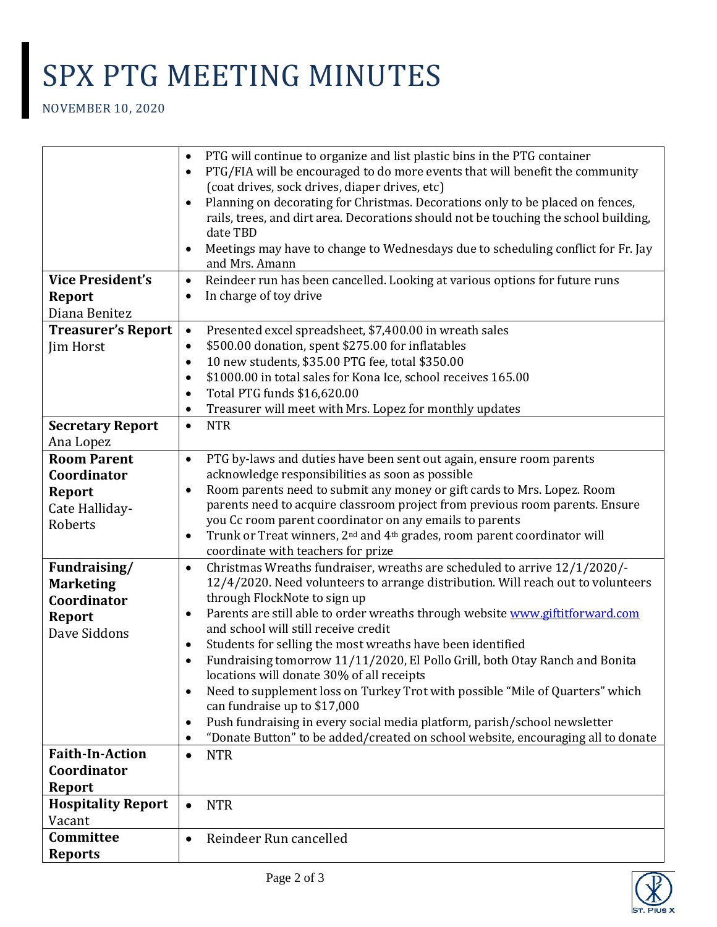## SPX PTG MEETING MINUTES

NOVEMBER 10, 2020

|                           | PTG will continue to organize and list plastic bins in the PTG container<br>$\bullet$                         |
|---------------------------|---------------------------------------------------------------------------------------------------------------|
|                           | PTG/FIA will be encouraged to do more events that will benefit the community<br>$\bullet$                     |
|                           | (coat drives, sock drives, diaper drives, etc)                                                                |
|                           | Planning on decorating for Christmas. Decorations only to be placed on fences,<br>$\bullet$                   |
|                           | rails, trees, and dirt area. Decorations should not be touching the school building,                          |
|                           | date TBD                                                                                                      |
|                           | Meetings may have to change to Wednesdays due to scheduling conflict for Fr. Jay<br>$\bullet$                 |
|                           | and Mrs. Amann                                                                                                |
| <b>Vice President's</b>   | Reindeer run has been cancelled. Looking at various options for future runs<br>$\bullet$                      |
| <b>Report</b>             | In charge of toy drive<br>$\bullet$                                                                           |
| Diana Benitez             |                                                                                                               |
| <b>Treasurer's Report</b> | Presented excel spreadsheet, \$7,400.00 in wreath sales<br>$\bullet$                                          |
| Jim Horst                 | \$500.00 donation, spent \$275.00 for inflatables<br>٠                                                        |
|                           | 10 new students, \$35.00 PTG fee, total \$350.00<br>$\bullet$                                                 |
|                           | \$1000.00 in total sales for Kona Ice, school receives 165.00<br>$\bullet$                                    |
|                           | Total PTG funds \$16,620.00<br>$\bullet$                                                                      |
|                           | Treasurer will meet with Mrs. Lopez for monthly updates<br>$\bullet$                                          |
| <b>Secretary Report</b>   | <b>NTR</b><br>$\bullet$                                                                                       |
| Ana Lopez                 |                                                                                                               |
| <b>Room Parent</b>        | PTG by-laws and duties have been sent out again, ensure room parents<br>$\bullet$                             |
| Coordinator               | acknowledge responsibilities as soon as possible                                                              |
|                           | Room parents need to submit any money or gift cards to Mrs. Lopez. Room<br>$\bullet$                          |
| <b>Report</b>             | parents need to acquire classroom project from previous room parents. Ensure                                  |
| Cate Halliday-            | you Cc room parent coordinator on any emails to parents                                                       |
| Roberts                   | Trunk or Treat winners, 2 <sup>nd</sup> and 4 <sup>th</sup> grades, room parent coordinator will<br>$\bullet$ |
|                           | coordinate with teachers for prize                                                                            |
| Fundraising/              | Christmas Wreaths fundraiser, wreaths are scheduled to arrive 12/1/2020/-<br>$\bullet$                        |
| <b>Marketing</b>          | 12/4/2020. Need volunteers to arrange distribution. Will reach out to volunteers                              |
| Coordinator               | through FlockNote to sign up                                                                                  |
| <b>Report</b>             | Parents are still able to order wreaths through website www.giftitforward.com<br>$\bullet$                    |
| Dave Siddons              | and school will still receive credit                                                                          |
|                           | Students for selling the most wreaths have been identified<br>٠                                               |
|                           | Fundraising tomorrow 11/11/2020, El Pollo Grill, both Otay Ranch and Bonita<br>$\bullet$                      |
|                           | locations will donate 30% of all receipts                                                                     |
|                           | Need to supplement loss on Turkey Trot with possible "Mile of Quarters" which<br>$\bullet$                    |
|                           | can fundraise up to \$17,000                                                                                  |
|                           | Push fundraising in every social media platform, parish/school newsletter<br>٠                                |
|                           | "Donate Button" to be added/created on school website, encouraging all to donate<br>$\bullet$                 |
| <b>Faith-In-Action</b>    | <b>NTR</b><br>$\bullet$                                                                                       |
| Coordinator               |                                                                                                               |
| <b>Report</b>             |                                                                                                               |
| <b>Hospitality Report</b> | <b>NTR</b><br>$\bullet$                                                                                       |
| Vacant                    |                                                                                                               |
| Committee                 | Reindeer Run cancelled<br>$\bullet$                                                                           |
| <b>Reports</b>            |                                                                                                               |
|                           |                                                                                                               |